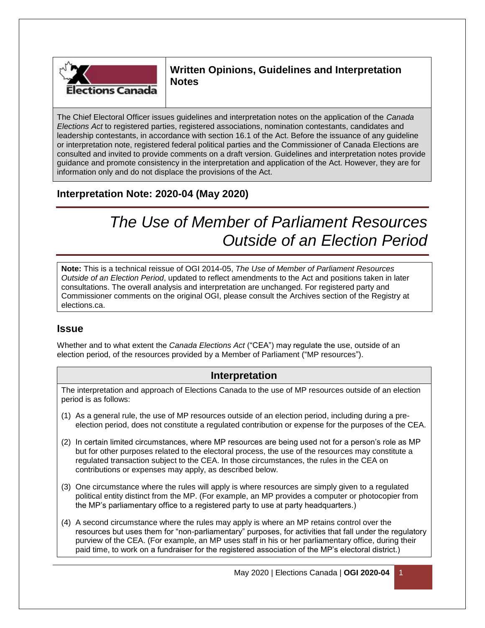

**Written Opinions, Guidelines and Interpretation Notes**

The Chief Electoral Officer issues guidelines and interpretation notes on the application of the *Canada Elections Act* to registered parties, registered associations, nomination contestants, candidates and leadership contestants, in accordance with section 16.1 of the Act. Before the issuance of any guideline or interpretation note, registered federal political parties and the Commissioner of Canada Elections are consulted and invited to provide comments on a draft version. Guidelines and interpretation notes provide guidance and promote consistency in the interpretation and application of the Act. However, they are for information only and do not displace the provisions of the Act.

## **Interpretation Note: 2020-04 (May 2020)**

# *The Use of Member of Parliament Resources Outside of an Election Period*

**Note:** This is a technical reissue of OGI 2014-05, *The Use of Member of Parliament Resources Outside of an Election Period*, updated to reflect amendments to the Act and positions taken in later consultations. The overall analysis and interpretation are unchanged. For registered party and Commissioner comments on the original OGI, please consult the Archives section of the Registry at elections.ca.

#### **Issue**

Whether and to what extent the *Canada Elections Act* ("CEA") may regulate the use, outside of an election period, of the resources provided by a Member of Parliament ("MP resources").

#### **Interpretation**

The interpretation and approach of Elections Canada to the use of MP resources outside of an election period is as follows:

- (1) As a general rule, the use of MP resources outside of an election period, including during a preelection period, does not constitute a regulated contribution or expense for the purposes of the CEA.
- (2) In certain limited circumstances, where MP resources are being used not for a person's role as MP but for other purposes related to the electoral process, the use of the resources may constitute a regulated transaction subject to the CEA. In those circumstances, the rules in the CEA on contributions or expenses may apply, as described below.
- (3) One circumstance where the rules will apply is where resources are simply given to a regulated political entity distinct from the MP. (For example, an MP provides a computer or photocopier from the MP's parliamentary office to a registered party to use at party headquarters.)
- (4) A second circumstance where the rules may apply is where an MP retains control over the resources but uses them for "non-parliamentary" purposes, for activities that fall under the regulatory purview of the CEA. (For example, an MP uses staff in his or her parliamentary office, during their paid time, to work on a fundraiser for the registered association of the MP's electoral district.)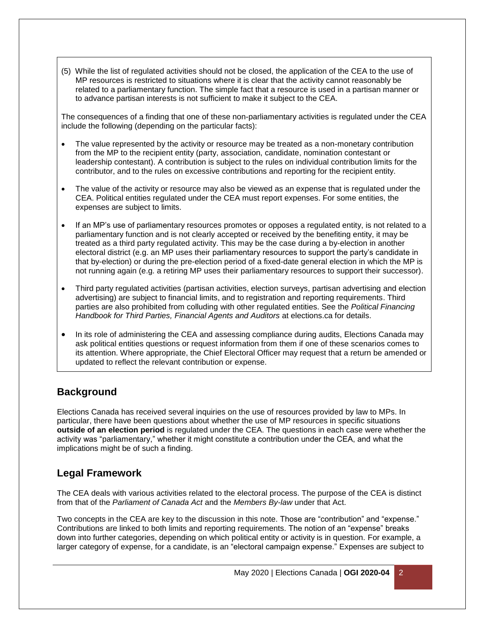(5) While the list of regulated activities should not be closed, the application of the CEA to the use of MP resources is restricted to situations where it is clear that the activity cannot reasonably be related to a parliamentary function. The simple fact that a resource is used in a partisan manner or to advance partisan interests is not sufficient to make it subject to the CEA.

The consequences of a finding that one of these non-parliamentary activities is regulated under the CEA include the following (depending on the particular facts):

- The value represented by the activity or resource may be treated as a non-monetary contribution from the MP to the recipient entity (party, association, candidate, nomination contestant or leadership contestant). A contribution is subject to the rules on individual contribution limits for the contributor, and to the rules on excessive contributions and reporting for the recipient entity.
- The value of the activity or resource may also be viewed as an expense that is regulated under the CEA. Political entities regulated under the CEA must report expenses. For some entities, the expenses are subject to limits.
- If an MP's use of parliamentary resources promotes or opposes a regulated entity, is not related to a parliamentary function and is not clearly accepted or received by the benefiting entity, it may be treated as a third party regulated activity. This may be the case during a by-election in another electoral district (e.g. an MP uses their parliamentary resources to support the party's candidate in that by-election) or during the pre-election period of a fixed-date general election in which the MP is not running again (e.g. a retiring MP uses their parliamentary resources to support their successor).
- Third party regulated activities (partisan activities, election surveys, partisan advertising and election advertising) are subject to financial limits, and to registration and reporting requirements. Third parties are also prohibited from colluding with other regulated entities. See the *Political Financing Handbook for Third Parties, Financial Agents and Auditors* at elections.ca for details.
- In its role of administering the CEA and assessing compliance during audits, Elections Canada may ask political entities questions or request information from them if one of these scenarios comes to its attention. Where appropriate, the Chief Electoral Officer may request that a return be amended or updated to reflect the relevant contribution or expense.

## **Background**

Elections Canada has received several inquiries on the use of resources provided by law to MPs. In particular, there have been questions about whether the use of MP resources in specific situations **outside of an election period** is regulated under the CEA. The questions in each case were whether the activity was "parliamentary," whether it might constitute a contribution under the CEA, and what the implications might be of such a finding.

## **Legal Framework**

The CEA deals with various activities related to the electoral process. The purpose of the CEA is distinct from that of the *Parliament of Canada Act* and the *Members By-law* under that Act.

Two concepts in the CEA are key to the discussion in this note. Those are "contribution" and "expense." Contributions are linked to both limits and reporting requirements. The notion of an "expense" breaks down into further categories, depending on which political entity or activity is in question. For example, a larger category of expense, for a candidate, is an "electoral campaign expense." Expenses are subject to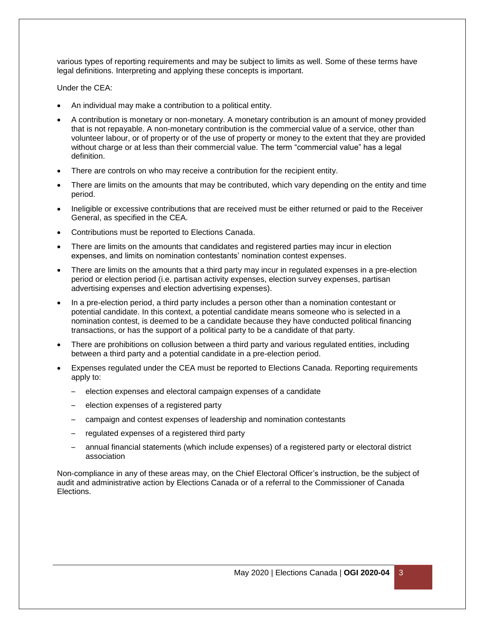various types of reporting requirements and may be subject to limits as well. Some of these terms have legal definitions. Interpreting and applying these concepts is important.

Under the CEA:

- An individual may make a contribution to a political entity.
- A contribution is monetary or non-monetary. A monetary contribution is an amount of money provided that is not repayable. A non-monetary contribution is the commercial value of a service, other than volunteer labour, or of property or of the use of property or money to the extent that they are provided without charge or at less than their commercial value. The term "commercial value" has a legal definition.
- There are controls on who may receive a contribution for the recipient entity.
- There are limits on the amounts that may be contributed, which vary depending on the entity and time period.
- Ineligible or excessive contributions that are received must be either returned or paid to the Receiver General, as specified in the CEA.
- Contributions must be reported to Elections Canada.
- There are limits on the amounts that candidates and registered parties may incur in election expenses, and limits on nomination contestants' nomination contest expenses.
- There are limits on the amounts that a third party may incur in regulated expenses in a pre-election period or election period (i.e. partisan activity expenses, election survey expenses, partisan advertising expenses and election advertising expenses).
- In a pre-election period, a third party includes a person other than a nomination contestant or potential candidate. In this context, a potential candidate means someone who is selected in a nomination contest, is deemed to be a candidate because they have conducted political financing transactions, or has the support of a political party to be a candidate of that party.
- There are prohibitions on collusion between a third party and various regulated entities, including between a third party and a potential candidate in a pre-election period.
- Expenses regulated under the CEA must be reported to Elections Canada. Reporting requirements apply to:
	- election expenses and electoral campaign expenses of a candidate
	- election expenses of a registered party
	- campaign and contest expenses of leadership and nomination contestants
	- regulated expenses of a registered third party
	- annual financial statements (which include expenses) of a registered party or electoral district association

Non-compliance in any of these areas may, on the Chief Electoral Officer's instruction, be the subject of audit and administrative action by Elections Canada or of a referral to the Commissioner of Canada **Elections**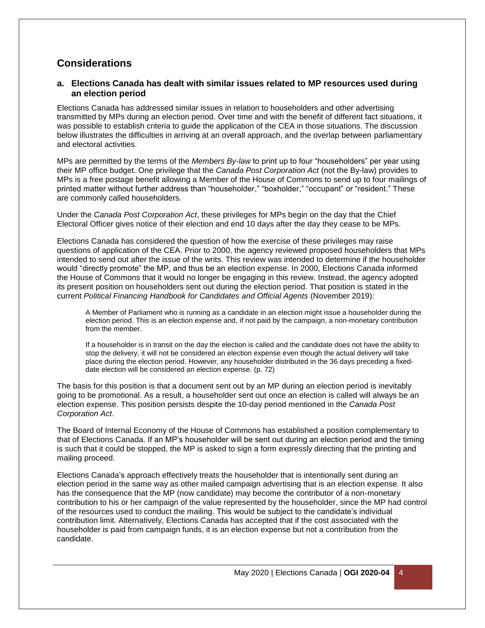## **Considerations**

#### **a. Elections Canada has dealt with similar issues related to MP resources used during an election period**

Elections Canada has addressed similar issues in relation to householders and other advertising transmitted by MPs during an election period. Over time and with the benefit of different fact situations, it was possible to establish criteria to guide the application of the CEA in those situations. The discussion below illustrates the difficulties in arriving at an overall approach, and the overlap between parliamentary and electoral activities.

MPs are permitted by the terms of the *Members By-law* to print up to four "householders" per year using their MP office budget. One privilege that the *Canada Post Corporation Act* (not the By-law) provides to MPs is a free postage benefit allowing a Member of the House of Commons to send up to four mailings of printed matter without further address than "householder," "boxholder," "occupant" or "resident." These are commonly called householders.

Under the *Canada Post Corporation Act*, these privileges for MPs begin on the day that the Chief Electoral Officer gives notice of their election and end 10 days after the day they cease to be MPs.

Elections Canada has considered the question of how the exercise of these privileges may raise questions of application of the CEA. Prior to 2000, the agency reviewed proposed householders that MPs intended to send out after the issue of the writs. This review was intended to determine if the householder would "directly promote" the MP, and thus be an election expense. In 2000, Elections Canada informed the House of Commons that it would no longer be engaging in this review. Instead, the agency adopted its present position on householders sent out during the election period. That position is stated in the current *Political Financing Handbook for Candidates and Official Agents* (November 2019):

A Member of Parliament who is running as a candidate in an election might issue a householder during the election period. This is an election expense and, if not paid by the campaign, a non-monetary contribution from the member.

If a householder is in transit on the day the election is called and the candidate does not have the ability to stop the delivery, it will not be considered an election expense even though the actual delivery will take place during the election period. However, any householder distributed in the 36 days preceding a fixeddate election will be considered an election expense. (p. 72)

The basis for this position is that a document sent out by an MP during an election period is inevitably going to be promotional. As a result, a householder sent out once an election is called will always be an election expense. This position persists despite the 10-day period mentioned in the *Canada Post Corporation Act*.

The Board of Internal Economy of the House of Commons has established a position complementary to that of Elections Canada. If an MP's householder will be sent out during an election period and the timing is such that it could be stopped, the MP is asked to sign a form expressly directing that the printing and mailing proceed.

Elections Canada's approach effectively treats the householder that is intentionally sent during an election period in the same way as other mailed campaign advertising that is an election expense. It also has the consequence that the MP (now candidate) may become the contributor of a non-monetary contribution to his or her campaign of the value represented by the householder, since the MP had control of the resources used to conduct the mailing. This would be subject to the candidate's individual contribution limit. Alternatively, Elections Canada has accepted that if the cost associated with the householder is paid from campaign funds, it is an election expense but not a contribution from the candidate.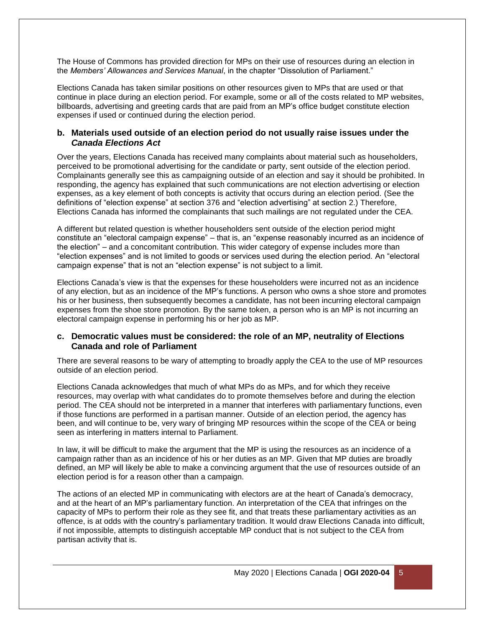The House of Commons has provided direction for MPs on their use of resources during an election in the *Members' Allowances and Services Manual*, in the chapter "Dissolution of Parliament."

Elections Canada has taken similar positions on other resources given to MPs that are used or that continue in place during an election period. For example, some or all of the costs related to MP websites, billboards, advertising and greeting cards that are paid from an MP's office budget constitute election expenses if used or continued during the election period.

#### **b. Materials used outside of an election period do not usually raise issues under the**  *Canada Elections Act*

Over the years, Elections Canada has received many complaints about material such as householders, perceived to be promotional advertising for the candidate or party, sent outside of the election period. Complainants generally see this as campaigning outside of an election and say it should be prohibited. In responding, the agency has explained that such communications are not election advertising or election expenses, as a key element of both concepts is activity that occurs during an election period. (See the definitions of "election expense" at section 376 and "election advertising" at section 2.) Therefore, Elections Canada has informed the complainants that such mailings are not regulated under the CEA.

A different but related question is whether householders sent outside of the election period might constitute an "electoral campaign expense" – that is, an "expense reasonably incurred as an incidence of the election" – and a concomitant contribution. This wider category of expense includes more than "election expenses" and is not limited to goods or services used during the election period. An "electoral campaign expense" that is not an "election expense" is not subject to a limit.

Elections Canada's view is that the expenses for these householders were incurred not as an incidence of any election, but as an incidence of the MP's functions. A person who owns a shoe store and promotes his or her business, then subsequently becomes a candidate, has not been incurring electoral campaign expenses from the shoe store promotion. By the same token, a person who is an MP is not incurring an electoral campaign expense in performing his or her job as MP.

#### **c. Democratic values must be considered: the role of an MP, neutrality of Elections Canada and role of Parliament**

There are several reasons to be wary of attempting to broadly apply the CEA to the use of MP resources outside of an election period.

Elections Canada acknowledges that much of what MPs do as MPs, and for which they receive resources, may overlap with what candidates do to promote themselves before and during the election period. The CEA should not be interpreted in a manner that interferes with parliamentary functions, even if those functions are performed in a partisan manner. Outside of an election period, the agency has been, and will continue to be, very wary of bringing MP resources within the scope of the CEA or being seen as interfering in matters internal to Parliament.

In law, it will be difficult to make the argument that the MP is using the resources as an incidence of a campaign rather than as an incidence of his or her duties as an MP. Given that MP duties are broadly defined, an MP will likely be able to make a convincing argument that the use of resources outside of an election period is for a reason other than a campaign.

The actions of an elected MP in communicating with electors are at the heart of Canada's democracy, and at the heart of an MP's parliamentary function. An interpretation of the CEA that infringes on the capacity of MPs to perform their role as they see fit, and that treats these parliamentary activities as an offence, is at odds with the country's parliamentary tradition. It would draw Elections Canada into difficult, if not impossible, attempts to distinguish acceptable MP conduct that is not subject to the CEA from partisan activity that is.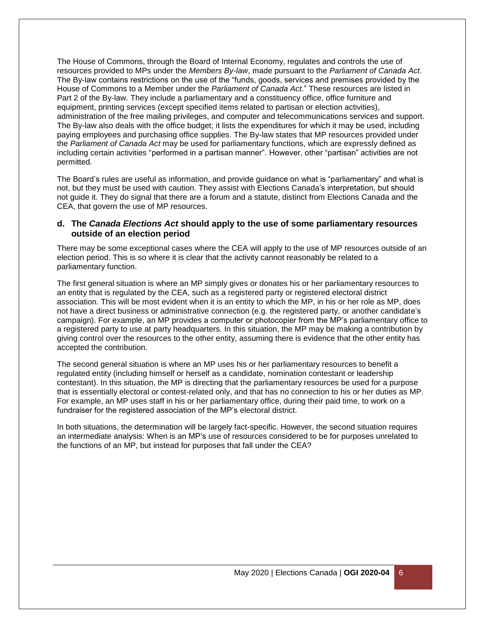The House of Commons, through the Board of Internal Economy, regulates and controls the use of resources provided to MPs under the *Members By-law*, made pursuant to the *Parliament of Canada Act*. The By-law contains restrictions on the use of the "funds, goods, services and premises provided by the House of Commons to a Member under the *Parliament of Canada Act*." These resources are listed in Part 2 of the By-law. They include a parliamentary and a constituency office, office furniture and equipment, printing services (except specified items related to partisan or election activities), administration of the free mailing privileges, and computer and telecommunications services and support. The By-law also deals with the office budget; it lists the expenditures for which it may be used, including paying employees and purchasing office supplies. The By-law states that MP resources provided under the *Parliament of Canada Act* may be used for parliamentary functions, which are expressly defined as including certain activities "performed in a partisan manner". However, other "partisan" activities are not permitted.

The Board's rules are useful as information, and provide guidance on what is "parliamentary" and what is not, but they must be used with caution. They assist with Elections Canada's interpretation, but should not guide it. They do signal that there are a forum and a statute, distinct from Elections Canada and the CEA, that govern the use of MP resources.

#### **d. The** *Canada Elections Act* **should apply to the use of some parliamentary resources outside of an election period**

There may be some exceptional cases where the CEA will apply to the use of MP resources outside of an election period. This is so where it is clear that the activity cannot reasonably be related to a parliamentary function.

The first general situation is where an MP simply gives or donates his or her parliamentary resources to an entity that is regulated by the CEA, such as a registered party or registered electoral district association. This will be most evident when it is an entity to which the MP, in his or her role as MP, does not have a direct business or administrative connection (e.g. the registered party, or another candidate's campaign). For example, an MP provides a computer or photocopier from the MP's parliamentary office to a registered party to use at party headquarters. In this situation, the MP may be making a contribution by giving control over the resources to the other entity, assuming there is evidence that the other entity has accepted the contribution.

The second general situation is where an MP uses his or her parliamentary resources to benefit a regulated entity (including himself or herself as a candidate, nomination contestant or leadership contestant). In this situation, the MP is directing that the parliamentary resources be used for a purpose that is essentially electoral or contest-related only, and that has no connection to his or her duties as MP. For example, an MP uses staff in his or her parliamentary office, during their paid time, to work on a fundraiser for the registered association of the MP's electoral district.

In both situations, the determination will be largely fact-specific. However, the second situation requires an intermediate analysis: When is an MP's use of resources considered to be for purposes unrelated to the functions of an MP, but instead for purposes that fall under the CEA?